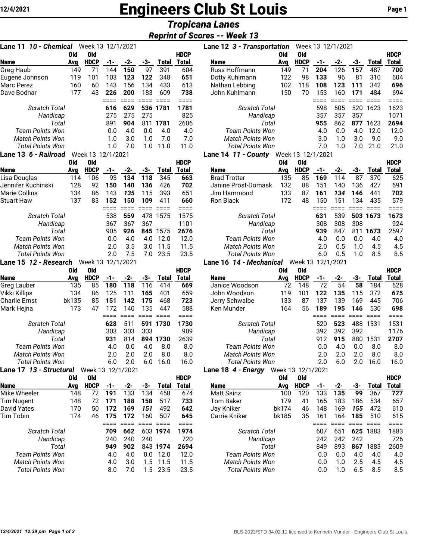## **12/4/2021 Engineers Club St Louis** Page 1

## *Tropicana Lanes*

## *Reprint of Scores -- Week 13*

| 10 - Chemical Week 13 12/1/2021<br>Lane 11       |            |                    |             |                  |             |                |                             |
|--------------------------------------------------|------------|--------------------|-------------|------------------|-------------|----------------|-----------------------------|
|                                                  | Old        | <b>Old</b>         |             |                  |             |                | <b>HDCP</b>                 |
| <b>Name</b>                                      | Avg        | <b>HDCP</b>        | -1-         | -2-              | -3-         | <b>Total</b>   | <b>Total</b>                |
| Greg Haub                                        | 149        | 71                 | 144         | 150              | 97          | 391            | 604                         |
| Eugene Johnson                                   | 119        | 101                | 103         | 123              | 122         | 348            | 651                         |
| Marc Perez                                       | 160        | 60                 | 143         | 156              | 134         | 433            | 613                         |
| Dave Bodnar                                      | 177        | 43                 | 226<br>==== | 200<br>$====$    | 183<br>==== | 609<br>$== ==$ | 738<br>====                 |
| <b>Scratch Total</b>                             |            |                    | 616         | 629              | 536         | 1781           | 1781                        |
| Handicap                                         |            |                    | 275         | 275              | 275         |                | 825                         |
| Total                                            |            |                    | 891         | 904              | 811         | 1781           | 2606                        |
| <b>Team Points Won</b>                           |            |                    | 0.0         | 4.0              | 0.0         | 4.0            | 4.0                         |
| <b>Match Points Won</b>                          |            |                    | 1.0         | 3.0              | 1.0         | 7.0            | 7.0                         |
| <b>Total Points Won</b>                          |            |                    | 1.0         | 7.0              | 1.0         | 11.0           | 11.0                        |
| Lane 13 6 - Railroad                             |            | Week 13 12/1/2021  |             |                  |             |                |                             |
|                                                  | Old        | <b>Old</b>         |             |                  |             |                | <b>HDCP</b>                 |
| <b>Name</b>                                      | Avg        | <b>HDCP</b>        | -1-         | $-2-$            | $-3-$       | <b>Total</b>   | <b>Total</b>                |
| Lisa Douglas                                     | 114        | 106                | 93          | 134              | 118         | 345            | 663                         |
| Jennifer Kuchinski                               | 128        | 92                 | 150         | 140              | 136         | 426            | 702                         |
| <b>Marie Collins</b>                             | 134        | 86                 | 143         | 135              | 115         | 393            | 651                         |
| <b>Stuart Haw</b>                                | 137        | 83                 | 152         | 150              | 109         | 411            | 660                         |
|                                                  |            |                    | ====        | ====             | ====        | $====$         | ====                        |
| <b>Scratch Total</b>                             |            |                    | 538         | 559              | 478         | 1575           | 1575                        |
| Handicap                                         |            |                    | 367         | 367              | 367         |                | 1101                        |
| Total                                            |            |                    | 905         | 926              | 845         | 1575           | 2676                        |
| <b>Team Points Won</b>                           |            |                    | 0.0         | 4.0              | 4.0         | 12.0           | 12.0                        |
| <b>Match Points Won</b>                          |            |                    | 2.0         | 3.5              | 3.0         | 11.5           | 11.5                        |
| <b>Total Points Won</b><br>Lane 15 12 - Research |            | Week 13            | 2.0         | 7.5<br>12/1/2021 | 7.0         | 23.5           | 23.5                        |
|                                                  | Old        | Old                |             |                  |             |                | <b>HDCP</b>                 |
| <b>Name</b>                                      | Avg        | <b>HDCP</b>        | -1-         | -2-              | -3-         | <b>Total</b>   | <b>Total</b>                |
| Greg Lauber                                      | 135        | 85                 | 180         | 118              | 116         | 414            | 669                         |
| Vikki Killips                                    | 134        | 86                 | 125         | 111              | 165         | 401            | 659                         |
| <b>Charlie Ernst</b>                             | bk135      | 85                 | 151         | 142              | 175         | 468            | 723                         |
| Mark Hejna                                       | 173        | 47                 | 172         | 140              | 135         | 447            | 588                         |
|                                                  |            |                    | $====$      | $=$ $=$ $=$ $=$  | $====$      | $====$         | ====                        |
| Scratch Total                                    |            |                    | 628         | 511              | 591         | 1730           | 1730                        |
| Handicap                                         |            |                    | 303         | 303              | 303         |                | 909                         |
| Total                                            |            |                    | 931         | 814              | 894         | 1730           | 2639                        |
| <b>Team Points Won</b>                           |            |                    | 4.0         | 0.0              | 4.0         | 8.0            | 8.0                         |
| <b>Match Points Won</b>                          |            |                    | 2.0         | 2.0              | 2.0         | 8.0            | 8.0                         |
| <b>Total Points Won</b>                          |            |                    | 6.0         | 2.0              | 6.0         | 16.0           | 16.0                        |
| Lane 17 13 - Structural Week 13 12/1/2021        |            |                    |             |                  |             |                |                             |
| <b>Name</b>                                      | Old<br>Avg | Old<br><b>HDCP</b> | -1-         | $-2-$            | -3-         | <b>Total</b>   | <b>HDCP</b><br><b>Total</b> |
| Mike Wheeler                                     | 148        | 72                 | 191         | 133              | 134         | 458            | 674                         |
| <b>Tim Nugent</b>                                | 148        | 72                 | 171         | 188              | 158         | 517            | 733                         |
| David Yates                                      | 170        | 50                 | 172         | 169              | 151         | 492            | 642                         |
| Tim Tobin                                        | 174        | 46                 | 175         | 172              | 160         | 507            | 645                         |
|                                                  |            |                    | ====        | $====$           | $====$      | $====$         | ====                        |
| <b>Scratch Total</b>                             |            |                    | 709         | 662              |             | 603 1974       | 1974                        |
| Handicap                                         |            |                    | 240         | 240              | 240         |                | 720                         |
| Total                                            |            |                    | 949         | 902              |             | 843 1974       | 2694                        |
| Team Points Won                                  |            |                    | 4.0         | 4.0              | 0.0         | 12.0           | 12.0                        |
| <b>Match Points Won</b>                          |            |                    | 4.0         | 3.0              | 1.5         | 11.5           | 11.5                        |
| <b>Total Points Won</b>                          |            |                    | 8.0         | 7.0              | 1.5         | 23.5           | 23.5                        |

| Lane 11 <i>10 - Chemical</i><br>Week 13 12/1/2021        |     |                         |     |     |     |              |             | Week 13 12/1/2021<br>Lane 12 3 - Transportation                                                                                                                                                                                                                                                                               |     |             |     |     |     |              |              |
|----------------------------------------------------------|-----|-------------------------|-----|-----|-----|--------------|-------------|-------------------------------------------------------------------------------------------------------------------------------------------------------------------------------------------------------------------------------------------------------------------------------------------------------------------------------|-----|-------------|-----|-----|-----|--------------|--------------|
|                                                          | 0ld | 0ld                     |     |     |     |              | <b>HDCP</b> |                                                                                                                                                                                                                                                                                                                               | Old | 0ld         |     |     |     |              | <b>HDCP</b>  |
| <b>Name</b>                                              | Ava | <b>HDCP</b>             | -1- | -2- | -3- | <b>Total</b> | Total       | <b>Name</b>                                                                                                                                                                                                                                                                                                                   | Avg | <b>HDCP</b> | -1- | -2- | -3- | <b>Total</b> | <b>Total</b> |
| Greg Haub                                                | 149 | 71                      | 144 | 150 | 97  | 391          | 604         | Russ Hoffmann                                                                                                                                                                                                                                                                                                                 | 149 | 71          | 204 | 126 | 157 | 487          | 700          |
| Eugene Johnson                                           | 119 | 101                     | 103 | 123 | 122 | 348          | 651         | Dotty Kuhlmann                                                                                                                                                                                                                                                                                                                | 122 | 98          | 133 | 96  | 81  | 310          | 604          |
| Marc Perez                                               | 160 | 60                      | 143 | 156 | 134 | 433          | 613         | Nathan Lebbing                                                                                                                                                                                                                                                                                                                | 102 | 118         | 108 | 123 | 111 | 342          | 696          |
| Dave Bodnar                                              | 177 | 43                      | 226 | 200 | 183 | 609          | 738         | John Kuhlmann                                                                                                                                                                                                                                                                                                                 | 150 | 70          | 153 | 160 | 171 | 484          | 694          |
|                                                          |     |                         |     |     |     |              |             |                                                                                                                                                                                                                                                                                                                               |     |             |     |     |     |              |              |
| <b>Scratch Total</b>                                     |     |                         | 616 | 629 |     | 536 1781     | 1781        | <b>Scratch Total</b>                                                                                                                                                                                                                                                                                                          |     |             | 598 | 505 | 520 | 1623         | 1623         |
| Handicap                                                 |     |                         | 275 | 275 | 275 |              | 825         | Handicap                                                                                                                                                                                                                                                                                                                      |     |             | 357 | 357 | 357 |              | 1071         |
| Total                                                    |     |                         | 891 | 904 | 811 | 1781         | 2606        | Total                                                                                                                                                                                                                                                                                                                         |     |             | 955 | 862 | 877 | 1623         | 2694         |
| Team Points Won                                          |     |                         | 0.0 | 4.0 | 0.0 | 4.0          | 4.0         | Team Points Won                                                                                                                                                                                                                                                                                                               |     |             | 4.0 | 0.0 | 4.0 | 12.0         | 12.0         |
| <b>Match Points Won</b>                                  |     |                         | 1.0 | 3.0 | 1.0 | 7.0          | 7.0         | <b>Match Points Won</b>                                                                                                                                                                                                                                                                                                       |     |             | 3.0 | 1.0 | 3.0 | 9.0          | 9.0          |
| <b>Total Points Won</b>                                  |     |                         | 1.0 | 7.0 | 1.0 | 11.0         | 11.0        | <b>Total Points Won</b>                                                                                                                                                                                                                                                                                                       |     |             | 7.0 | 1.0 | 7.0 | 21.0         | 21.0         |
| $\mathbf{A} \mathbf{A} \mathbf{A} \mathbf{A} \mathbf{A}$ |     | $111 - 170 - 101100001$ |     |     |     |              |             | $\mathcal{L}$ , $\mathcal{L}$ , $\mathcal{L}$ , $\mathcal{L}$ , $\mathcal{L}$ , $\mathcal{L}$ , $\mathcal{L}$ , $\mathcal{L}$ , $\mathcal{L}$ , $\mathcal{L}$ , $\mathcal{L}$ , $\mathcal{L}$ , $\mathcal{L}$ , $\mathcal{L}$ , $\mathcal{L}$ , $\mathcal{L}$ , $\mathcal{L}$ , $\mathcal{L}$ , $\mathcal{L}$ , $\mathcal{L}$ |     |             |     |     |     |              |              |

**Lane 14** *11 - County* Week 13 12/1/2021

|                         | Old | 0ld         |     |     |     |       | <b>HDCP</b>  |                         | Old | 0ld         |     |     |     |       | <b>HDCP</b> |
|-------------------------|-----|-------------|-----|-----|-----|-------|--------------|-------------------------|-----|-------------|-----|-----|-----|-------|-------------|
| <b>Name</b>             | Ava | <b>HDCP</b> | -1- | -2- | -3- | Total | <b>Total</b> | <b>Name</b>             | Avg | <b>HDCP</b> | -1- | -2- | -3- | Total | Total       |
| Lisa Douglas            | 114 | 106         | 93  | 134 | 118 | 345   | 663          | <b>Brad Trotter</b>     | 135 | 85          | 169 | 114 | 87  | 370   | 625         |
| Jennifer Kuchinski      | 128 | 92          | 150 | 140 | 136 | 426   | 702          | Janine Prost-Domask     | 132 | 88          | 151 | 140 | 136 | 427   | 691         |
| Marie Collins           | 134 | 86          | 143 | 135 | 115 | 393   | 651          | Jim Hammond             | 133 | 87          | 161 | 134 | 146 | 441   | 702         |
| Stuart Haw              | 137 | 83          | 152 | 150 | 109 | 411   | 660          | Ron Black               | 172 | 48          | 150 | 151 | 134 | 435   | 579         |
|                         |     |             |     |     |     |       |              |                         |     |             |     |     |     |       |             |
| <b>Scratch Total</b>    |     |             | 538 | 559 | 478 | 1575  | 1575         | Scratch Total           |     |             | 631 | 539 | 503 | 1673  | 1673        |
| Handicap                |     |             | 367 | 367 | 367 |       | 1101         | Handicap                |     |             | 308 | 308 | 308 |       | 924         |
| Total                   |     |             | 905 | 926 | 845 | 1575  | 2676         | Total                   |     |             | 939 | 847 | 811 | 1673  | 2597        |
| Team Points Won         |     |             | 0.0 | 4.0 | 4.0 | 12.0  | 12.0         | Team Points Won         |     |             | 4.0 | 0.0 | 0.0 | 4.0   | 4.0         |
| <b>Match Points Won</b> |     |             | 2.0 | 3.5 | 3.0 | 11.5  | 11.5         | <b>Match Points Won</b> |     |             | 2.0 | 0.5 | 1.0 | 4.5   | 4.5         |
| <b>Total Points Won</b> |     |             | 2.0 | '.5 | 7.0 | 23.5  | 23.5         | Total Points Won        |     |             | 6.0 | 0.5 | 1.0 | 8.5   | 8.5         |
|                         |     |             |     |     |     |       |              |                         |     |             |     |     |     |       |             |

**Lane 16** *14 - Mechanical* Week 13 12/1/2021

|                         | Old   | 0ld               |     |     |     |              | <b>HDCP</b>  |                         | Old | 0ld               |     |     |     |              | <b>HDCP</b> |
|-------------------------|-------|-------------------|-----|-----|-----|--------------|--------------|-------------------------|-----|-------------------|-----|-----|-----|--------------|-------------|
| <b>Name</b>             | Ava   | <b>HDCP</b>       | -1- | -2- | -3- | <b>Total</b> | <b>Total</b> | <b>Name</b>             | Avg | <b>HDCP</b>       | -1- | -2- | -3- | <b>Fotal</b> | Total       |
| Greg Lauber             | 135   | 85                | 180 | 118 | 116 | 414          | 669          | Janice Woodson          | 72  | 148               | 72  | 54  | 58  | 184          | 628         |
| Vikki Killips           | 134   | 86                | 125 | 111 | 165 | 401          | 659          | John Woodson            | 119 | 101               | 122 | 135 | 115 | 372          | 675         |
| Charlie Ernst           | bk135 | 85                | 151 | 142 | 175 | 468          | 723          | Jerry Schwalbe          | 133 | 87                | 137 | 139 | 169 | 445          | 706         |
| Mark Hejna              | 173   | 47                | 172 | 140 | 135 | 447          | 588          | Ken Munder              | 164 | 56                | 189 | 195 | 146 | 530          | 698         |
|                         |       |                   |     |     |     |              |              |                         |     |                   |     |     |     |              |             |
| <b>Scratch Total</b>    |       |                   | 628 | 511 | 591 | 1730         | 1730         | <b>Scratch Total</b>    |     |                   | 520 | 523 | 488 | 1531         | 1531        |
| Handicap                |       |                   | 303 | 303 | 303 |              | 909          | Handicap                |     |                   | 392 | 392 | 392 |              | 1176        |
|                         | Total |                   | 931 | 814 | 894 | 1730         | 2639         | Total                   |     |                   | 912 | 915 | 880 | 1531         | 2707        |
| <b>Team Points Won</b>  |       |                   | 4.0 | 0.0 | 4.0 | 8.0          | 8.0          | Team Points Won         |     |                   | 0.0 | 4.0 | 0.0 | 8.0          | 8.0         |
| <b>Match Points Won</b> |       |                   | 2.0 | 2.0 | 2.0 | 8.0          | 8.0          | <b>Match Points Won</b> |     |                   | 2.0 | 2.0 | 2.0 | 8.0          | 8.0         |
| <b>Total Points Won</b> |       |                   | 6.0 | 2.0 | 6.0 | 16.0         | 16.0         | <b>Total Points Won</b> |     |                   | 2.0 | 6.0 | 2.0 | 16.0         | 16.0        |
| Lane 17 13 - Structural |       | Week 13 12/1/2021 |     |     |     |              |              | 4 - Energy<br>Lane 18   |     | Week 13 12/1/2021 |     |     |     |              |             |

| Old                     | 0ld         |     |     |               |       | <b>HDCP</b>      |                   | Old   | 0ld                                                                                                                |       |          |     |       | <b>HDCP</b> |
|-------------------------|-------------|-----|-----|---------------|-------|------------------|-------------------|-------|--------------------------------------------------------------------------------------------------------------------|-------|----------|-----|-------|-------------|
| Avg                     | <b>HDCP</b> | -1- | -2- | -3-           | Total | Total            | <b>Name</b>       | Avg   | <b>HDCP</b>                                                                                                        | -1-   | -2-      | -3- | Total | Total       |
| 148                     | 72          | 191 | 133 | 134           | 458   | 674              | <b>Matt Sainz</b> | 100   | 120                                                                                                                | 133   | 135      | 99  | 367   | 727         |
| 148                     | 72          | 171 | 188 | 158           | 517   | 733              | <b>Tom Baker</b>  | 179   | 41                                                                                                                 | 165   | 183      | 186 | 534   | 657         |
| 170                     | 50          | 172 | 169 | 151           | 492   | 642              | Jay Kniker        |       | 46                                                                                                                 | 148   | 169      | 155 | 472   | 610         |
| 174                     | 46          | 175 | 172 | 160           | 507   | 645              | Carrie Kniker     | bk185 | 35                                                                                                                 | 161   | 164      | 185 | 510   | 615         |
|                         |             |     |     |               |       |                  |                   |       |                                                                                                                    |       |          |     |       |             |
|                         |             | 709 | 662 | 603           |       | 1974             |                   |       |                                                                                                                    | 607   | 651      | 625 | 1883  | 1883        |
|                         |             | 240 | 240 | 240           |       | 720              |                   |       |                                                                                                                    | 242   | 242      | 242 |       | 726         |
|                         |             | 949 | 902 |               |       | 2694             |                   |       |                                                                                                                    | 849   | 893      | 867 | 1883  | 2609        |
| <b>Team Points Won</b>  |             | 4.0 | 4.0 | 0.0           | 12.0  | 12.0             |                   |       |                                                                                                                    | 0.0   | 0.0      | 4.0 | 4.0   | 4.0         |
|                         |             | 4.0 | 3.0 | 1.5           | 11.5  | 11.5             |                   |       |                                                                                                                    | 0.0   | .0       | 2.5 | 4.5   | 4.5         |
| <b>Total Points Won</b> |             | 8.0 | 7.0 | $1.5^{\circ}$ | 23.5  | 23.5             |                   |       |                                                                                                                    | 0.0   | $\Omega$ | 6.5 | 8.5   | 8.5         |
|                         |             |     |     |               |       | 1974<br>843 1974 |                   |       | <b>Scratch Total</b><br>Handicap<br>Total<br>Team Points Won<br><b>Match Points Won</b><br><b>Total Points Won</b> | bk174 |          |     |       |             |